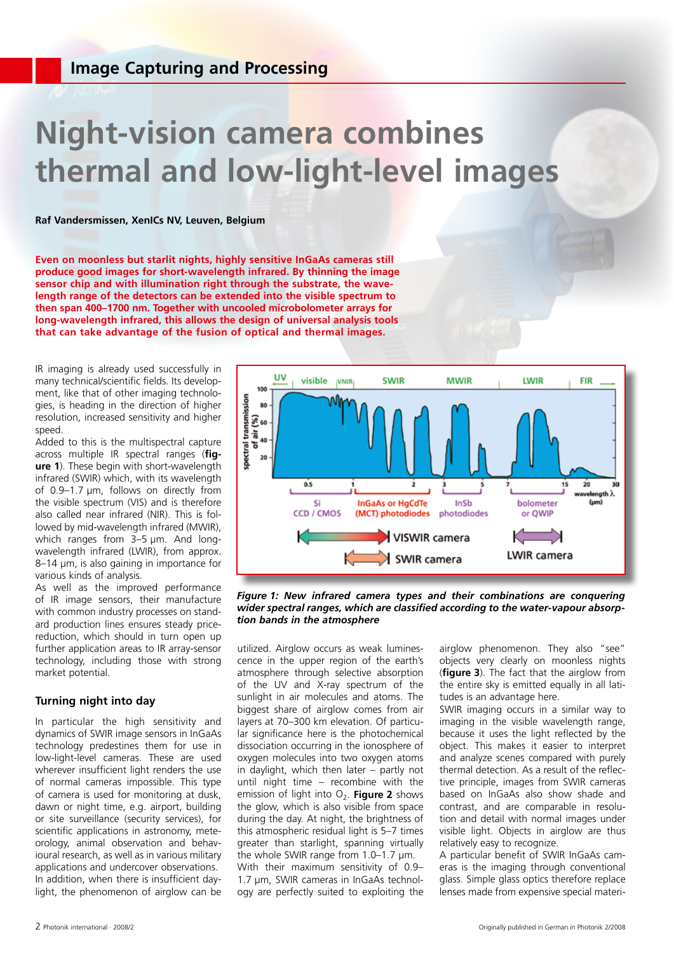# **Night-vision camera combines thermal and low-light-level images**

**Raf Vandersmissen, XenICs NV, Leuven, Belgium**

**Even on moonless but starlit nights, highly sensitive InGaAs cameras still produce good images for short-wavelength infrared. By thinning the image sensor chip and with illumination right through the substrate, the wavelength range of the detectors can be extended into the visible spectrum to then span 400–1700 nm. Together with uncooled microbolometer arrays for long-wavelength infrared, this allows the design of universal analysis tools that can take advantage of the fusion of optical and thermal images.**

IR imaging is already used successfully in many technical/scientific fields. Its development, like that of other imaging technologies, is heading in the direction of higher resolution, increased sensitivity and higher speed.

Added to this is the multispectral capture across multiple IR spectral ranges (**figure 1**). These begin with short-wavelength infrared (SWIR) which, with its wavelength of 0.9–1.7 µm, follows on directly from the visible spectrum (VIS) and is therefore also called near infrared (NIR). This is followed by mid-wavelength infrared (MWIR), which ranges from 3-5  $\mu$ m. And longwavelength infrared (LWIR), from approx. 8–14 µm, is also gaining in importance for various kinds of analysis.

As well as the improved performance of IR image sensors, their manufacture with common industry processes on standard production lines ensures steady pricereduction, which should in turn open up further application areas to IR array-sensor technology, including those with strong market potential.

## **Turning night into day**

In particular the high sensitivity and dynamics of SWIR image sensors in InGaAs technology predestines them for use in low-light-level cameras. These are used wherever insufficient light renders the use of normal cameras impossible. This type of camera is used for monitoring at dusk, dawn or night time, e.g. airport, building or site surveillance (security services), for scientific applications in astronomy, meteorology, animal observation and behavioural research, as well as in various military applications and undercover observations. In addition, when there is insufficient daylight, the phenomenon of airglow can be



*Figure 1: New infrared camera types and their combinations are conquering wider spectral ranges, which are classified according to the water-vapour absorption bands in the atmosphere*

utilized. Airglow occurs as weak luminescence in the upper region of the earth's atmosphere through selective absorption of the UV and X-ray spectrum of the sunlight in air molecules and atoms. The biggest share of airglow comes from air layers at 70–300 km elevation. Of particular significance here is the photochemical dissociation occurring in the ionosphere of oxygen molecules into two oxygen atoms in daylight, which then later – partly not until night time – recombine with the emission of light into O<sub>2</sub>. **Figure 2** shows the glow, which is also visible from space during the day. At night, the brightness of this atmospheric residual light is 5–7 times greater than starlight, spanning virtually the whole SWIR range from 1.0–1.7 µm. With their maximum sensitivity of 0.9– 1.7 µm, SWIR cameras in InGaAs technology are perfectly suited to exploiting the

airglow phenomenon. They also "see" objects very clearly on moonless nights (**figure 3**). The fact that the airglow from the entire sky is emitted equally in all latitudes is an advantage here.

SWIR imaging occurs in a similar way to imaging in the visible wavelength range, because it uses the light reflected by the object. This makes it easier to interpret and analyze scenes compared with purely thermal detection. As a result of the reflective principle, images from SWIR cameras based on InGaAs also show shade and contrast, and are comparable in resolution and detail with normal images under visible light. Objects in airglow are thus relatively easy to recognize.

A particular benefit of SWIR InGaAs cameras is the imaging through conventional glass. Simple glass optics therefore replace lenses made from expensive special materi-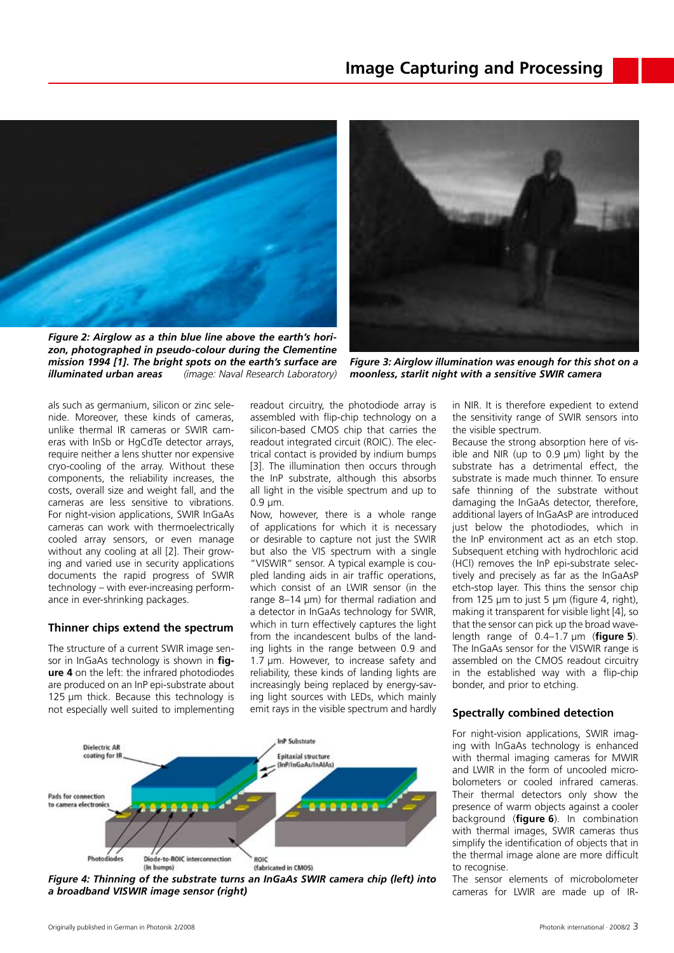

*Figure 2: Airglow as a thin blue line above the earth's horizon, photographed in pseudo-colour during the Clementine mission 1994 [1]. The bright spots on the earth's surface are illuminated urban areas (image: Naval Research Laboratory)* 



*Figure 3: Airglow illumination was enough for this shot on a moonless, starlit night with a sensitive SWIR camera*

als such as germanium, silicon or zinc selenide. Moreover, these kinds of cameras, unlike thermal IR cameras or SWIR cameras with InSb or HgCdTe detector arrays. require neither a lens shutter nor expensive cryo-cooling of the array. Without these components, the reliability increases, the costs, overall size and weight fall, and the cameras are less sensitive to vibrations. For night-vision applications, SWIR InGaAs cameras can work with thermoelectrically cooled array sensors, or even manage without any cooling at all [2]. Their growing and varied use in security applications documents the rapid progress of SWIR technology – with ever-increasing performance in ever-shrinking packages.

## **Thinner chips extend the spectrum**

The structure of a current SWIR image sensor in InGaAs technology is shown in **figure 4** on the left: the infrared photodiodes are produced on an InP epi-substrate about 125 µm thick. Because this technology is not especially well suited to implementing

readout circuitry, the photodiode array is assembled with flip-chip technology on a silicon-based CMOS chip that carries the readout integrated circuit (ROIC). The electrical contact is provided by indium bumps [3]. The illumination then occurs through the InP substrate, although this absorbs all light in the visible spectrum and up to 0.9 µm.

Now, however, there is a whole range of applications for which it is necessary or desirable to capture not just the SWIR but also the VIS spectrum with a single "VISWIR" sensor. A typical example is coupled landing aids in air traffic operations, which consist of an LWIR sensor (in the range 8–14 µm) for thermal radiation and a detector in InGaAs technology for SWIR, which in turn effectively captures the light from the incandescent bulbs of the landing lights in the range between 0.9 and 1.7 µm. However, to increase safety and reliability, these kinds of landing lights are increasingly being replaced by energy-saving light sources with LEDs, which mainly emit rays in the visible spectrum and hardly



*Figure 4: Thinning of the substrate turns an InGaAs SWIR camera chip (left) into a broadband VISWIR image sensor (right)*

in NIR. It is therefore expedient to extend the sensitivity range of SWIR sensors into the visible spectrum.

Because the strong absorption here of visible and NIR (up to 0.9 µm) light by the substrate has a detrimental effect, the substrate is made much thinner. To ensure safe thinning of the substrate without damaging the InGaAs detector, therefore, additional layers of InGaAsP are introduced just below the photodiodes, which in the InP environment act as an etch stop. Subsequent etching with hydrochloric acid (HCl) removes the InP epi-substrate selectively and precisely as far as the InGaAsP etch-stop layer. This thins the sensor chip from 125 µm to just 5 µm (figure 4, right), making it transparent for visible light [4], so that the sensor can pick up the broad wavelength range of 0.4–1.7 µm (**figure 5**). The InGaAs sensor for the VISWIR range is assembled on the CMOS readout circuitry in the established way with a flip-chip bonder, and prior to etching.

#### **Spectrally combined detection**

For night-vision applications, SWIR imaging with InGaAs technology is enhanced with thermal imaging cameras for MWIR and LWIR in the form of uncooled microbolometers or cooled infrared cameras. Their thermal detectors only show the presence of warm objects against a cooler background (**figure 6**). In combination with thermal images, SWIR cameras thus simplify the identification of objects that in the thermal image alone are more difficult to recognise.

The sensor elements of microbolometer cameras for LWIR are made up of IR-